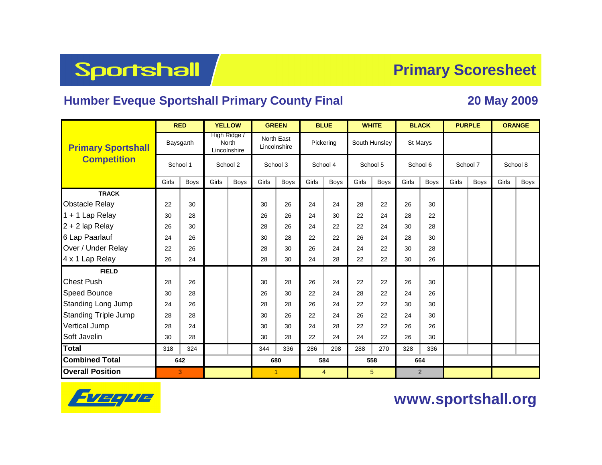**Sportshall** 

### **Primary Scoresheet**

### **Humber Eveque Sportshall Primary County Final 20 May 2009**

|                             | <b>RED</b> |           | <b>YELLOW</b>                                |      | <b>GREEN</b>               |      | <b>BLUE</b> |                | <b>WHITE</b> |                 |       | <b>BLACK</b>   | <b>PURPLE</b> |             | <b>ORANGE</b> |             |  |
|-----------------------------|------------|-----------|----------------------------------------------|------|----------------------------|------|-------------|----------------|--------------|-----------------|-------|----------------|---------------|-------------|---------------|-------------|--|
| <b>Primary Sportshall</b>   |            | Baysgarth | High Ridge /<br><b>North</b><br>Lincolnshire |      | North East<br>Lincolnshire |      | Pickering   |                |              | South Hunsley   |       | St Marys       |               |             |               |             |  |
| <b>Competition</b>          | School 1   |           | School 2                                     |      | School 3                   |      | School 4    |                |              | School 5        |       | School 6       |               | School 7    |               | School 8    |  |
|                             | Girls      | Boys      | Girls                                        | Boys | Girls                      | Boys | Girls       | <b>Boys</b>    | Girls        | Boys            | Girls | Boys           | Girls         | <b>Boys</b> | Girls         | <b>Boys</b> |  |
| <b>TRACK</b>                |            |           |                                              |      |                            |      |             |                |              |                 |       |                |               |             |               |             |  |
| <b>Obstacle Relay</b>       | 22         | 30        |                                              |      | 30                         | 26   | 24          | 24             | 28           | 22              | 26    | 30             |               |             |               |             |  |
| 1 + 1 Lap Relay             | 30         | 28        |                                              |      | 26                         | 26   | 24          | 30             | 22           | 24              | 28    | 22             |               |             |               |             |  |
| 2 + 2 lap Relay             | 26         | 30        |                                              |      | 28                         | 26   | 24          | 22             | 22           | 24              | 30    | 28             |               |             |               |             |  |
| 6 Lap Paarlauf              | 24         | 26        |                                              |      | 30                         | 28   | 22          | 22             | 26           | 24              | 28    | 30             |               |             |               |             |  |
| Over / Under Relay          | 22         | 26        |                                              |      | 28                         | 30   | 26          | 24             | 24           | 22              | 30    | 28             |               |             |               |             |  |
| 4 x 1 Lap Relay             | 26         | 24        |                                              |      | 28                         | 30   | 24          | 28             | 22           | 22              | 30    | 26             |               |             |               |             |  |
| <b>FIELD</b>                |            |           |                                              |      |                            |      |             |                |              |                 |       |                |               |             |               |             |  |
| Chest Push                  | 28         | 26        |                                              |      | 30                         | 28   | 26          | 24             | 22           | 22              | 26    | 30             |               |             |               |             |  |
| Speed Bounce                | 30         | 28        |                                              |      | 26                         | 30   | 22          | 24             | 28           | 22              | 24    | 26             |               |             |               |             |  |
| <b>Standing Long Jump</b>   | 24         | 26        |                                              |      | 28                         | 28   | 26          | 24             | 22           | 22              | 30    | 30             |               |             |               |             |  |
| <b>Standing Triple Jump</b> | 28         | 28        |                                              |      | 30                         | 26   | 22          | 24             | 26           | 22              | 24    | 30             |               |             |               |             |  |
| Vertical Jump               | 28         | 24        |                                              |      | 30                         | 30   | 24          | 28             | 22           | 22              | 26    | 26             |               |             |               |             |  |
| Soft Javelin                | 30         | 28        |                                              |      | 30                         | 28   | 22          | 24             | 24           | 22              | 26    | 30             |               |             |               |             |  |
| Total                       | 318        | 324       |                                              |      | 344                        | 336  | 286         | 298            | 288          | 270             | 328   | 336            |               |             |               |             |  |
| <b>Combined Total</b>       | 642        |           |                                              |      | 680                        |      | 584         |                |              | 558             |       | 664            |               |             |               |             |  |
| <b>Overall Position</b>     |            | 3         |                                              |      | 1                          |      |             | $\overline{4}$ |              | $5\phantom{.0}$ |       | $\overline{2}$ |               |             |               |             |  |



### **www.sportshall.org**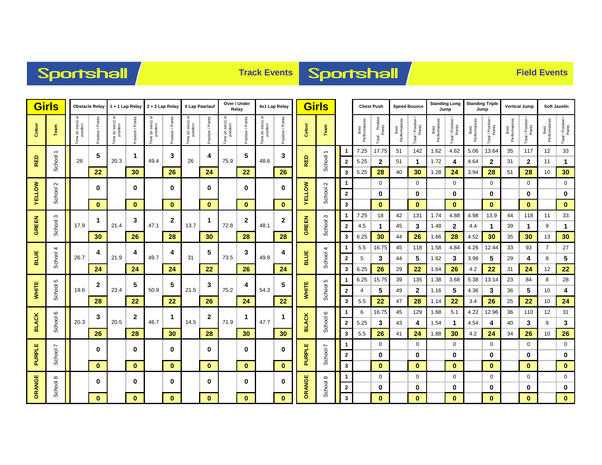# Sportshall

# **Track Events Sportshall**

|               | <b>Girls</b><br><b>Obstacle Relay</b> |                               | 1 + 1 Lap Relay 2 + 2 Lap Relay |                              |                   |                              | 6 Lap Paarlauf    |                                   | Over / Under<br>Relay |                                   | 4x1 Lap Relay    |                               | Girls             |               |                          | <b>Chest Push</b>            |                      | <b>Speed Bounce</b>           |                      | <b>Standing Long</b><br>Jump |                      | <b>Standing Triple</b><br>Jump |                      | <b>Vertical Jump</b> |                      | Soft Javelin                 |                      |                              |
|---------------|---------------------------------------|-------------------------------|---------------------------------|------------------------------|-------------------|------------------------------|-------------------|-----------------------------------|-----------------------|-----------------------------------|------------------|-------------------------------|-------------------|---------------|--------------------------|------------------------------|----------------------|-------------------------------|----------------------|------------------------------|----------------------|--------------------------------|----------------------|----------------------|----------------------|------------------------------|----------------------|------------------------------|
| Colour        | Team                                  | "ime (in secs) or<br>position | Position / Points               | ime (in secs) or<br>position | Position / Points | ime (in secs) or<br>position | Position / Points | a (in secs) or<br>position<br>em. | Position / Points     | e (in secs) or<br>position<br>em. | osition / Points | "ime (in secs) or<br>position | Position / Points | Colour        | Team                     |                              | Best<br>Performances | I Position<br>Points<br>Total | Best<br>Performances | Total / Position /<br>Points | Best<br>Performances | Total / Position /<br>Points   | Best<br>Performances | Total / Position /   | Best<br>Performances | Total / Position /<br>Points | Best<br>Performances | Total / Position /<br>Points |
|               | $\overline{\phantom{0}}$              |                               | 5                               |                              | $\mathbf 1$       |                              | 3                 |                                   | 4                     |                                   | 5                |                               | 3                 |               | $\overline{\phantom{0}}$ | -1                           | 7.25                 | 17.75                         | 51                   | 142                          | 1.62                 | 4.62                           | 5.06                 | 13.64                | 35                   | 117                          | 12                   | 33                           |
| <b>RED</b>    | School                                | 28                            |                                 | 20.3                         |                   | 49.4                         |                   | 26                                |                       | 75.9                              |                  | 48.6                          |                   | <b>RED</b>    | School                   | $\overline{2}$               | 5.25                 | $\mathbf{2}$                  | 51                   | $\mathbf 1$                  | 1.72                 | 4                              | 4.64                 | $\mathbf{2}$         | 31                   | $\mathbf{2}$                 | 11                   | $\mathbf{1}$                 |
|               |                                       |                               | 22                              |                              | 30                |                              | 26                |                                   | 24                    |                                   | 22               |                               | 26                |               |                          | 3                            | 5.25                 | 28                            | 40                   | 30                           | 1.28                 | 24                             | 3.94                 | 28                   | 51                   | 28                           | 10                   | 30                           |
|               | $\sim$                                |                               | 0                               |                              | $\mathbf 0$       |                              | $\bf{0}$          |                                   | 0                     |                                   | 0                |                               | $\bf{0}$          |               | School 2                 | $\mathbf 1$                  |                      | 0                             |                      | 0                            |                      | 0                              |                      | 0                    |                      | 0                            |                      | $\mathbf 0$                  |
| <b>VELLOW</b> | School                                |                               |                                 |                              |                   |                              |                   |                                   |                       |                                   |                  |                               |                   | <b>AELLOM</b> |                          | $\overline{\mathbf{2}}$      |                      | 0                             |                      | 0                            |                      | 0                              |                      | 0                    |                      | 0                            |                      | 0                            |
|               |                                       |                               | $\bf{0}$                        |                              | $\mathbf{0}$      |                              | $\bf{0}$          |                                   | $\mathbf{0}$          |                                   | $\mathbf{0}$     |                               | $\mathbf{0}$      |               |                          | 3                            |                      | $\bf{0}$                      |                      | $\bf{0}$                     |                      | $\mathbf{0}$                   |                      | $\bf{0}$             |                      | $\bf{0}$                     |                      | $\bf{0}$                     |
| <b>GREEN</b>  | S                                     | 17.9                          | 1                               | 21.4                         | 3                 | 47.1                         | $\mathbf{2}$      | 13.7                              | 1                     | 72.8                              | $\mathbf{2}$     | 48.1                          | 2                 | GREEN         | S                        | $\mathbf 1$                  | 7.25                 | 18                            | 42                   | 131                          | 1.74                 | 4.88                           | 4.98                 | 13.9                 | 44                   | 118                          | 11                   | 33                           |
|               | School                                |                               | 30                              |                              | 26                |                              | 28                |                                   | 30                    |                                   | 28               |                               | 28                |               | School                   | $\overline{\mathbf{2}}$<br>3 | 4.5<br>6.25          | 1<br>30                       | 45<br>44             | 3<br>26                      | 1.48<br>1.66         | $\mathbf{2}$<br>28             | 4.4<br>4.52          | $\mathbf{1}$<br>30   | 39<br>35             | 1<br>30                      | 9<br>13              | 1<br>30                      |
|               |                                       |                               |                                 |                              |                   |                              |                   |                                   |                       |                                   |                  |                               |                   |               |                          | $\mathbf 1$                  | 5.5                  | 16.75                         | 45                   | 118                          | 1.58                 | 4.84                           | 4.26                 | 12.44                | 33                   | 93                           | $\overline{7}$       | 27                           |
| BLUE          | School 4                              | 26.7                          | 4                               | 21.9                         | 4                 | 49.7                         | 4                 | 31                                | 5                     | 73.5                              | 3                | 49.8                          | 4                 | <b>BLUE</b>   | School 4                 | $\overline{2}$               | 5                    | 3                             | 44                   | 5                            | 1.62                 | 3                              | 3.98                 | 5                    | 29                   | 4                            | 8                    | 5                            |
|               |                                       |                               | 24                              |                              | 24                | 24                           |                   | 22                                |                       | 26                                |                  | 24                            |                   |               | 3                        | 6.25                         | 26                   | 29                            | 22                   | 1.64                         | 26                   | 4.2                            | 22                   | 31                   | 24                   | 12                           | 22                   |                              |
|               | 5                                     | 19.6                          |                                 | 5<br>23.4                    |                   |                              |                   |                                   |                       |                                   |                  |                               |                   | Б             | $\mathbf 1$              | 6.25                         | 15.75                | 39                            | 135                  | 1.38                         | 3.68                 | 5.38                           | 13.14                | 23                   | 84                   | 8                            | 28                   |                              |
| <b>WHITE</b>  | School                                |                               | $\mathbf{2}$                    |                              |                   | 50.9                         | 5                 | 21.5                              | 3                     | 75.2                              | 4                | 54.3                          | 5                 | <b>WHITE</b>  | School                   | $\overline{2}$               | 4                    | 5                             | 49                   | $\mathbf{2}$                 | 1.16                 | 5                              | 4.36                 | 3                    | 36                   | 5                            | 10                   | 4                            |
|               |                                       |                               | 28                              |                              | 22                |                              | 22                |                                   | 26                    |                                   | 24               |                               | 22                |               |                          | 3                            | 5.5                  | 22                            | 47                   | 28                           | 1.14                 | 22                             | 3.4                  | 26                   | 25                   | 22                           | 10                   | 24                           |
|               | 6                                     |                               | 3                               |                              | $\mathbf{2}$      |                              | $\mathbf 1$       |                                   | 2                     |                                   | 1                |                               | 1                 |               | $\circ$                  | $\mathbf 1$                  | 6                    | 16.75                         | 45                   | 129                          | 1.68                 | 5.1                            | 4.22                 | 12.96                | 36                   | 110                          | 12                   | 31                           |
| <b>BLACK</b>  | School 6                              | 20.3                          |                                 | 20.5                         |                   | 46.7                         |                   | 14.5                              |                       | 71.9                              |                  | 47.7                          |                   | <b>BLACK</b>  | School                   | $\overline{\mathbf{2}}$      | 5.25                 | 3                             | 43                   | 4                            | 1.54                 | $\mathbf{1}$                   | 4.54                 | 4                    | 40                   | 3                            | 9                    | 3                            |
|               |                                       |                               | 26                              |                              | 28                |                              | 30                |                                   | 28                    |                                   | 30               |                               | 30                |               |                          | 3                            | 5.5                  | 26                            | 41                   | 24                           | 1.88                 | 30                             | 4.2                  | 24                   | 34                   | 26                           | 10                   | 26                           |
|               |                                       |                               | 0                               |                              | $\mathbf 0$       |                              | 0                 |                                   | 0                     |                                   | 0                |                               | 0                 |               |                          | $\mathbf 1$                  |                      | 0                             |                      | $\mathbf 0$                  |                      | $\mathbf 0$                    |                      | 0                    |                      | $\mathbf 0$                  |                      | $\mathbf 0$                  |
| PURPLE        | School 7                              |                               |                                 |                              |                   |                              |                   |                                   |                       |                                   |                  | <b>PURPLE</b>                 | School 7          | $\mathbf{2}$  |                          | 0                            |                      | 0                             |                      | 0                            |                      | 0                              |                      | 0                    |                      | $\bf{0}$                     |                      |                              |
|               |                                       |                               | $\mathbf{0}$                    |                              | $\mathbf{0}$      |                              | $\mathbf{0}$      |                                   | $\mathbf{0}$          |                                   | $\mathbf{0}$     |                               | $\mathbf{0}$      |               |                          | $\overline{\mathbf{3}}$      |                      | $\pmb{0}$                     |                      | $\bf{0}$                     |                      | $\bf{0}$                       |                      | $\bf{0}$             |                      | $\mathbf{0}$                 |                      | $\mathbf 0$                  |
|               | School 8                              |                               | 0                               |                              | $\bf{0}$          |                              | $\mathbf{0}$      |                                   | 0                     |                                   | $\bf{0}$         |                               | 0                 | ORANGE        |                          | -1                           |                      | $\mathbf 0$                   |                      | $\mathbf 0$                  |                      | $\mathbf 0$                    |                      | $\mathbf 0$          |                      | $\mathbf 0$                  |                      | $\mathbf 0$                  |
| ORANGE        |                                       |                               | $\mathbf{0}$                    |                              | $\mathbf{0}$      |                              | $\mathbf{0}$      |                                   |                       |                                   | $\mathbf{0}$     |                               | $\mathbf{0}$      |               | School 8                 | $\mathbf{2}$<br>$\mathbf{3}$ |                      | 0<br>$\mathbf{0}$             |                      | 0<br>$\mathbf{0}$            |                      | 0<br>$\mathbf{0}$              |                      | 0<br>$\bf{0}$        |                      | 0<br>$\bf{0}$                |                      | 0<br>$\mathbf{0}$            |
|               |                                       |                               |                                 |                              |                   |                              |                   |                                   | $\mathbf{0}$          |                                   |                  |                               |                   |               |                          |                              |                      |                               |                      |                              |                      |                                |                      |                      |                      |                              |                      |                              |